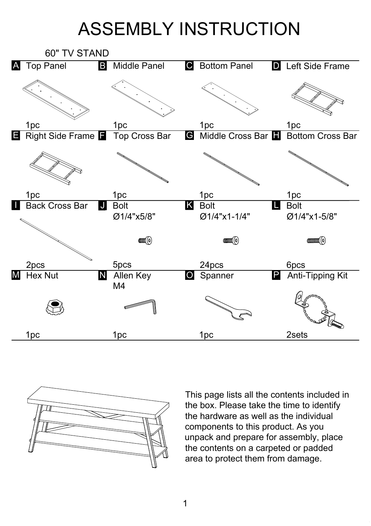## ASSEMBLY INSTRUCTION





This page lists all the contents included in the box. Please take the time to identify the hardware as well as the individual components to this product. As you unpack and prepare for assembly, place the contents on a carpeted or padded area to protect them from damage.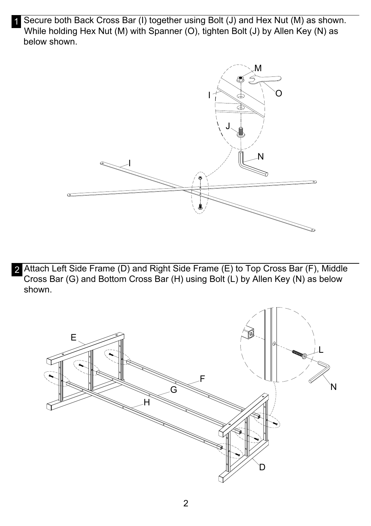1 Secure both Back Cross Bar (I) together using Bolt (J) and Hex Nut (M) as shown. While holding Hex Nut (M) with Spanner (O), tighten Bolt (J) by Allen Key (N) as below shown.



2 Attach Left Side Frame (D) and Right Side Frame (E) to Top Cross Bar (F), Middle Cross Bar (G) and Bottom Cross Bar (H) using Bolt (L) by Allen Key (N) as below shown.

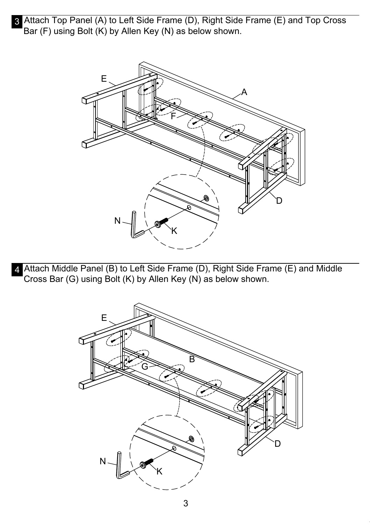3 Attach Top Panel (A) to Left Side Frame (D), Right Side Frame (E) and Top Cross Bar (F) using Bolt (K) by Allen Key (N) as below shown.



4 Attach Middle Panel (B) to Left Side Frame (D), Right Side Frame (E) and Middle Cross Bar (G) using Bolt (K) by Allen Key (N) as below shown.

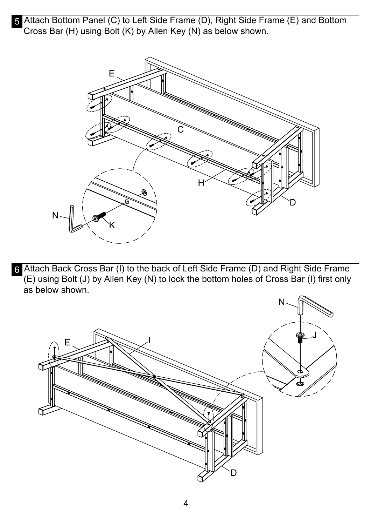5 Attach Bottom Panel (C) to Left Side Frame (D), Right Side Frame (E) and Bottom Cross Bar (H) using Bolt (K) by Allen Key (N) as below shown.



6 Attach Back Cross Bar (I) to the back of Left Side Frame (D) and Right Side Frame  $\overline{B}$  (E) using Bolt (J) by Allen Key (N) to lock the bottom holes of Cross Bar (I) first only as below shown.